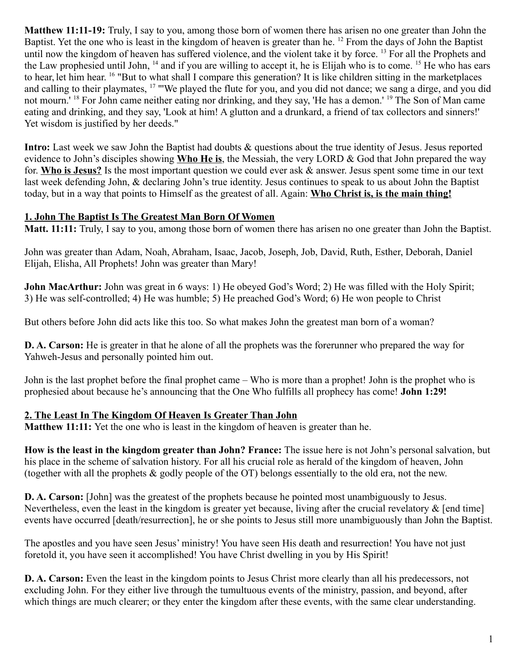**Matthew 11:11-19:** Truly, I say to you, among those born of women there has arisen no one greater than John the Baptist. Yet the one who is least in the kingdom of heaven is greater than he. <sup>12</sup> From the days of John the Baptist until now the kingdom of heaven has suffered violence, and the violent take it by force. <sup>13</sup> For all the Prophets and the Law prophesied until John, <sup>14</sup> and if you are willing to accept it, he is Elijah who is to come. <sup>15</sup> He who has ears to hear, let him hear. <sup>16</sup> "But to what shall I compare this generation? It is like children sitting in the marketplaces and calling to their playmates, <sup>17</sup> "'We played the flute for you, and you did not dance; we sang a dirge, and you did not mourn.' <sup>18</sup> For John came neither eating nor drinking, and they say, 'He has a demon.' <sup>19</sup> The Son of Man came eating and drinking, and they say, 'Look at him! A glutton and a drunkard, a friend of tax collectors and sinners!' Yet wisdom is justified by her deeds."

Intro: Last week we saw John the Baptist had doubts & questions about the true identity of Jesus. Jesus reported evidence to John's disciples showing **Who He is**, the Messiah, the very LORD & God that John prepared the way for. **Who is Jesus?** Is the most important question we could ever ask & answer. Jesus spent some time in our text last week defending John, & declaring John's true identity. Jesus continues to speak to us about John the Baptist today, but in a way that points to Himself as the greatest of all. Again: **Who Christ is, is the main thing!**

## **1. John The Baptist Is The Greatest Man Born Of Women**

**Matt. 11:11:** Truly, I say to you, among those born of women there has arisen no one greater than John the Baptist.

John was greater than Adam, Noah, Abraham, Isaac, Jacob, Joseph, Job, David, Ruth, Esther, Deborah, Daniel Elijah, Elisha, All Prophets! John was greater than Mary!

**John MacArthur:** John was great in 6 ways: 1) He obeyed God's Word; 2) He was filled with the Holy Spirit; 3) He was self-controlled; 4) He was humble; 5) He preached God's Word; 6) He won people to Christ

But others before John did acts like this too. So what makes John the greatest man born of a woman?

**D. A. Carson:** He is greater in that he alone of all the prophets was the forerunner who prepared the way for Yahweh-Jesus and personally pointed him out.

John is the last prophet before the final prophet came – Who is more than a prophet! John is the prophet who is prophesied about because he's announcing that the One Who fulfills all prophecy has come! **John 1:29!**

## **2. The Least In The Kingdom Of Heaven Is Greater Than John**

**Matthew 11:11:** Yet the one who is least in the kingdom of heaven is greater than he.

**How is the least in the kingdom greater than John? France:** The issue here is not John's personal salvation, but his place in the scheme of salvation history. For all his crucial role as herald of the kingdom of heaven, John (together with all the prophets & godly people of the OT) belongs essentially to the old era, not the new.

**D. A. Carson:** [John] was the greatest of the prophets because he pointed most unambiguously to Jesus. Nevertheless, even the least in the kingdom is greater yet because, living after the crucial revelatory & [end time] events have occurred [death/resurrection], he or she points to Jesus still more unambiguously than John the Baptist.

The apostles and you have seen Jesus' ministry! You have seen His death and resurrection! You have not just foretold it, you have seen it accomplished! You have Christ dwelling in you by His Spirit!

**D. A. Carson:** Even the least in the kingdom points to Jesus Christ more clearly than all his predecessors, not excluding John. For they either live through the tumultuous events of the ministry, passion, and beyond, after which things are much clearer; or they enter the kingdom after these events, with the same clear understanding.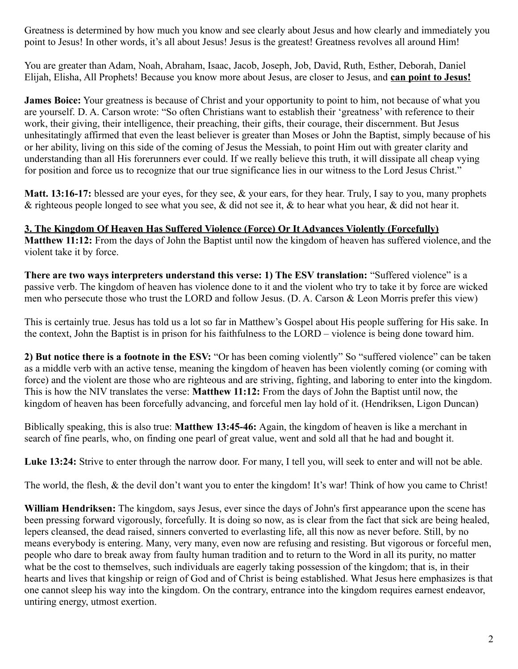Greatness is determined by how much you know and see clearly about Jesus and how clearly and immediately you point to Jesus! In other words, it's all about Jesus! Jesus is the greatest! Greatness revolves all around Him!

You are greater than Adam, Noah, Abraham, Isaac, Jacob, Joseph, Job, David, Ruth, Esther, Deborah, Daniel Elijah, Elisha, All Prophets! Because you know more about Jesus, are closer to Jesus, and **can point to Jesus!**

**James Boice:** Your greatness is because of Christ and your opportunity to point to him, not because of what you are yourself. D. A. Carson wrote: "So often Christians want to establish their 'greatness' with reference to their work, their giving, their intelligence, their preaching, their gifts, their courage, their discernment. But Jesus unhesitatingly affirmed that even the least believer is greater than Moses or John the Baptist, simply because of his or her ability, living on this side of the coming of Jesus the Messiah, to point Him out with greater clarity and understanding than all His forerunners ever could. If we really believe this truth, it will dissipate all cheap vying for position and force us to recognize that our true significance lies in our witness to the Lord Jesus Christ."

**Matt. 13:16-17:** blessed are your eyes, for they see, & your ears, for they hear. Truly, I say to you, many prophets & righteous people longed to see what you see, & did not see it, & to hear what you hear, & did not hear it.

**3. The Kingdom Of Heaven Has Suffered Violence (Force) Or It Advances Violently (Forcefully) Matthew 11:12:** From the days of John the Baptist until now the kingdom of heaven has suffered violence, and the violent take it by force.

**There are two ways interpreters understand this verse: 1) The ESV translation:** "Suffered violence" is a passive verb. The kingdom of heaven has violence done to it and the violent who try to take it by force are wicked men who persecute those who trust the LORD and follow Jesus. (D. A. Carson & Leon Morris prefer this view)

This is certainly true. Jesus has told us a lot so far in Matthew's Gospel about His people suffering for His sake. In the context, John the Baptist is in prison for his faithfulness to the LORD – violence is being done toward him.

**2) But notice there is a footnote in the ESV:** "Or has been coming violently" So "suffered violence" can be taken as a middle verb with an active tense, meaning the kingdom of heaven has been violently coming (or coming with force) and the violent are those who are righteous and are striving, fighting, and laboring to enter into the kingdom. This is how the NIV translates the verse: **Matthew 11:12:** From the days of John the Baptist until now, the kingdom of heaven has been forcefully advancing, and forceful men lay hold of it. (Hendriksen, Ligon Duncan)

Biblically speaking, this is also true: **Matthew 13:45-46:** Again, the kingdom of heaven is like a merchant in search of fine pearls, who, on finding one pearl of great value, went and sold all that he had and bought it.

Luke 13:24: Strive to enter through the narrow door. For many, I tell you, will seek to enter and will not be able.

The world, the flesh, & the devil don't want you to enter the kingdom! It's war! Think of how you came to Christ!

**William Hendriksen:** The kingdom, says Jesus, ever since the days of John's first appearance upon the scene has been pressing forward vigorously, forcefully. It is doing so now, as is clear from the fact that sick are being healed, lepers cleansed, the dead raised, sinners converted to everlasting life, all this now as never before. Still, by no means everybody is entering. Many, very many, even now are refusing and resisting. But vigorous or forceful men, people who dare to break away from faulty human tradition and to return to the Word in all its purity, no matter what be the cost to themselves, such individuals are eagerly taking possession of the kingdom; that is, in their hearts and lives that kingship or reign of God and of Christ is being established. What Jesus here emphasizes is that one cannot sleep his way into the kingdom. On the contrary, entrance into the kingdom requires earnest endeavor, untiring energy, utmost exertion.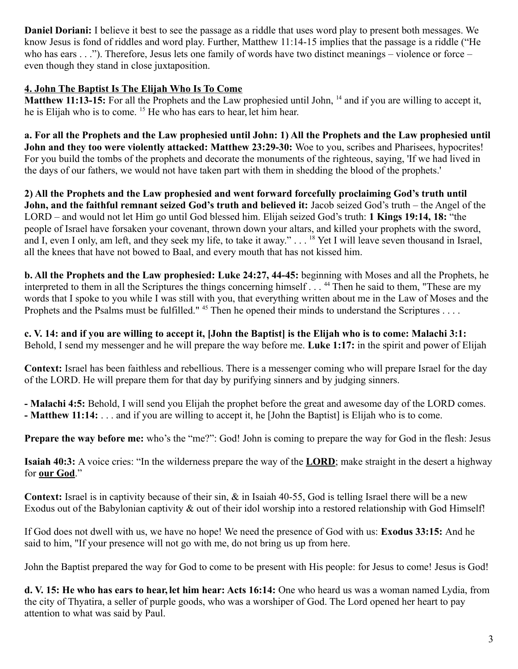**Daniel Doriani:** I believe it best to see the passage as a riddle that uses word play to present both messages. We know Jesus is fond of riddles and word play. Further, Matthew 11:14-15 implies that the passage is a riddle ("He who has ears . . ."). Therefore, Jesus lets one family of words have two distinct meanings – violence or force – even though they stand in close juxtaposition.

## **4. John The Baptist Is The Elijah Who Is To Come**

**Matthew 11:13-15:** For all the Prophets and the Law prophesied until John, <sup>14</sup> and if you are willing to accept it, he is Elijah who is to come. <sup>15</sup> He who has ears to hear, let him hear.

**a. For all the Prophets and the Law prophesied until John: 1) All the Prophets and the Law prophesied until John and they too were violently attacked: Matthew 23:29-30:** Woe to you, scribes and Pharisees, hypocrites! For you build the tombs of the prophets and decorate the monuments of the righteous, saying, 'If we had lived in the days of our fathers, we would not have taken part with them in shedding the blood of the prophets.'

**2) All the Prophets and the Law prophesied and went forward forcefully proclaiming God's truth until John, and the faithful remnant seized God's truth and believed it:** Jacob seized God's truth – the Angel of the LORD – and would not let Him go until God blessed him. Elijah seized God's truth: **1 Kings 19:14, 18:** "the people of Israel have forsaken your covenant, thrown down your altars, and killed your prophets with the sword, and I, even I only, am left, and they seek my life, to take it away." . . . <sup>18</sup> Yet I will leave seven thousand in Israel, all the knees that have not bowed to Baal, and every mouth that has not kissed him.

**b. All the Prophets and the Law prophesied: Luke 24:27, 44-45:** beginning with Moses and all the Prophets, he interpreted to them in all the Scriptures the things concerning himself . . . <sup>44</sup> Then he said to them, "These are my words that I spoke to you while I was still with you, that everything written about me in the Law of Moses and the Prophets and the Psalms must be fulfilled." <sup>45</sup> Then he opened their minds to understand the Scriptures . . . .

**c. V. 14: and if you are willing to accept it, [John the Baptist] is the Elijah who is to come: Malachi 3:1:**  Behold, I send my messenger and he will prepare the way before me. **Luke 1:17:** in the spirit and power of Elijah

**Context:** Israel has been faithless and rebellious. There is a messenger coming who will prepare Israel for the day of the LORD. He will prepare them for that day by purifying sinners and by judging sinners.

**- Malachi 4:5:** Behold, I will send you Elijah the prophet before the great and awesome day of the LORD comes.

**- Matthew 11:14:** . . . and if you are willing to accept it, he [John the Baptist] is Elijah who is to come.

**Prepare the way before me:** who's the "me?": God! John is coming to prepare the way for God in the flesh: Jesus

**Isaiah 40:3:** A voice cries: "In the wilderness prepare the way of the **LORD**; make straight in the desert a highway for **our God**."

**Context:** Israel is in captivity because of their sin, & in Isaiah 40-55, God is telling Israel there will be a new Exodus out of the Babylonian captivity & out of their idol worship into a restored relationship with God Himself!

If God does not dwell with us, we have no hope! We need the presence of God with us: **Exodus 33:15:** And he said to him, "If your presence will not go with me, do not bring us up from here.

John the Baptist prepared the way for God to come to be present with His people: for Jesus to come! Jesus is God!

**d. V. 15: He who has ears to hear, let him hear: Acts 16:14:** One who heard us was a woman named Lydia, from the city of Thyatira, a seller of purple goods, who was a worshiper of God. The Lord opened her heart to pay attention to what was said by Paul.